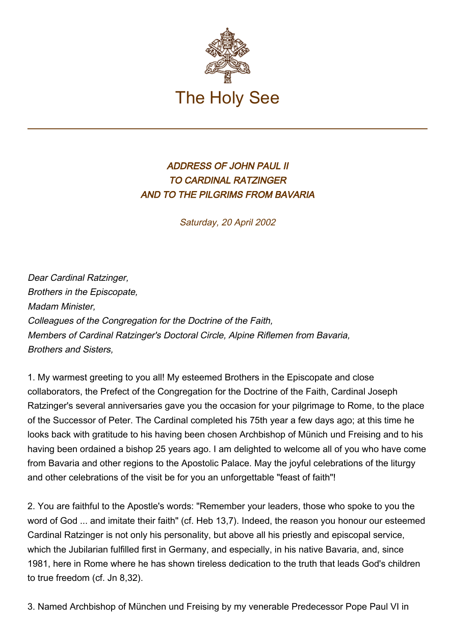

## ADDRESS OF JOHN PAUL II TO CARDINAL RATZINGER AND TO THE PILGRIMS FROM BAVARIA

Saturday, 20 April 2002

Dear Cardinal Ratzinger, Brothers in the Episcopate, Madam Minister, Colleagues of the Congregation for the Doctrine of the Faith, Members of Cardinal Ratzinger's Doctoral Circle, Alpine Riflemen from Bavaria, Brothers and Sisters,

1. My warmest greeting to you all! My esteemed Brothers in the Episcopate and close collaborators, the Prefect of the Congregation for the Doctrine of the Faith, Cardinal Joseph Ratzinger's several anniversaries gave you the occasion for your pilgrimage to Rome, to the place of the Successor of Peter. The Cardinal completed his 75th year a few days ago; at this time he looks back with gratitude to his having been chosen Archbishop of Münich und Freising and to his having been ordained a bishop 25 years ago. I am delighted to welcome all of you who have come from Bavaria and other regions to the Apostolic Palace. May the joyful celebrations of the liturgy and other celebrations of the visit be for you an unforgettable "feast of faith"!

2. You are faithful to the Apostle's words: "Remember your leaders, those who spoke to you the word of God ... and imitate their faith" (cf. Heb 13,7). Indeed, the reason you honour our esteemed Cardinal Ratzinger is not only his personality, but above all his priestly and episcopal service, which the Jubilarian fulfilled first in Germany, and especially, in his native Bavaria, and, since 1981, here in Rome where he has shown tireless dedication to the truth that leads God's children to true freedom (cf. Jn 8,32).

3. Named Archbishop of München und Freising by my venerable Predecessor Pope Paul VI in